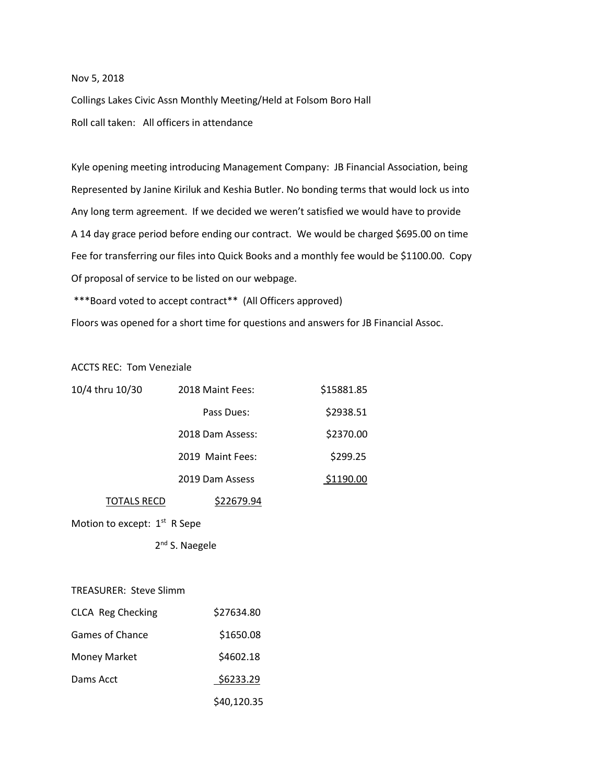# Nov 5, 2018

Collings Lakes Civic Assn Monthly Meeting/Held at Folsom Boro Hall Roll call taken: All officers in attendance

Kyle opening meeting introducing Management Company: JB Financial Association, being Represented by Janine Kiriluk and Keshia Butler. No bonding terms that would lock us into Any long term agreement. If we decided we weren't satisfied we would have to provide A 14 day grace period before ending our contract. We would be charged \$695.00 on time Fee for transferring our files into Quick Books and a monthly fee would be \$1100.00. Copy Of proposal of service to be listed on our webpage.

\*\*\*Board voted to accept contract\*\* (All Officers approved)

Floors was opened for a short time for questions and answers for JB Financial Assoc.

ACCTS REC: Tom Veneziale

| 10/4 thru 10/30 | 2018 Maint Fees: | \$15881.85 |
|-----------------|------------------|------------|
|                 | Pass Dues:       | \$2938.51  |
|                 | 2018 Dam Assess: | \$2370.00  |
|                 | 2019 Maint Fees: | \$299.25   |
|                 | 2019 Dam Assess  | \$1190.00  |
| TOTALS RECD     | \$22679.94       |            |

Motion to except: 1<sup>st</sup> R Sepe

 2 2<sup>nd</sup> S. Naegele

TREASURER: Steve Slimm

| <b>CLCA Reg Checking</b> | \$27634.80  |
|--------------------------|-------------|
| Games of Chance          | \$1650.08   |
| <b>Money Market</b>      | \$4602.18   |
| Dams Acct                | \$6233.29   |
|                          | \$40,120.35 |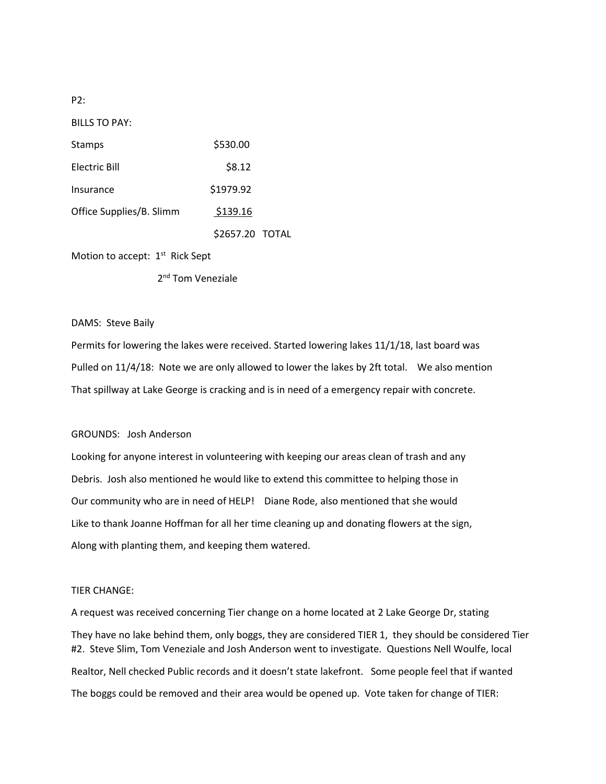P2:

BILLS TO PAY:

| Stamps                   | \$530.00        |  |
|--------------------------|-----------------|--|
| Electric Bill            | \$8.12          |  |
| Insurance                | \$1979.92       |  |
| Office Supplies/B. Slimm | \$139.16        |  |
|                          | \$2657.20 TOTAL |  |
|                          |                 |  |

Motion to accept: 1<sup>st</sup> Rick Sept

 2 2<sup>nd</sup> Tom Veneziale

DAMS: Steve Baily

Permits for lowering the lakes were received. Started lowering lakes 11/1/18, last board was Pulled on 11/4/18: Note we are only allowed to lower the lakes by 2ft total. We also mention That spillway at Lake George is cracking and is in need of a emergency repair with concrete.

# GROUNDS: Josh Anderson

Looking for anyone interest in volunteering with keeping our areas clean of trash and any Debris. Josh also mentioned he would like to extend this committee to helping those in Our community who are in need of HELP! Diane Rode, also mentioned that she would Like to thank Joanne Hoffman for all her time cleaning up and donating flowers at the sign, Along with planting them, and keeping them watered.

# TIER CHANGE:

A request was received concerning Tier change on a home located at 2 Lake George Dr, stating They have no lake behind them, only boggs, they are considered TIER 1, they should be considered Tier #2. Steve Slim, Tom Veneziale and Josh Anderson went to investigate. Questions Nell Woulfe, local Realtor, Nell checked Public records and it doesn't state lakefront. Some people feel that if wanted The boggs could be removed and their area would be opened up. Vote taken for change of TIER: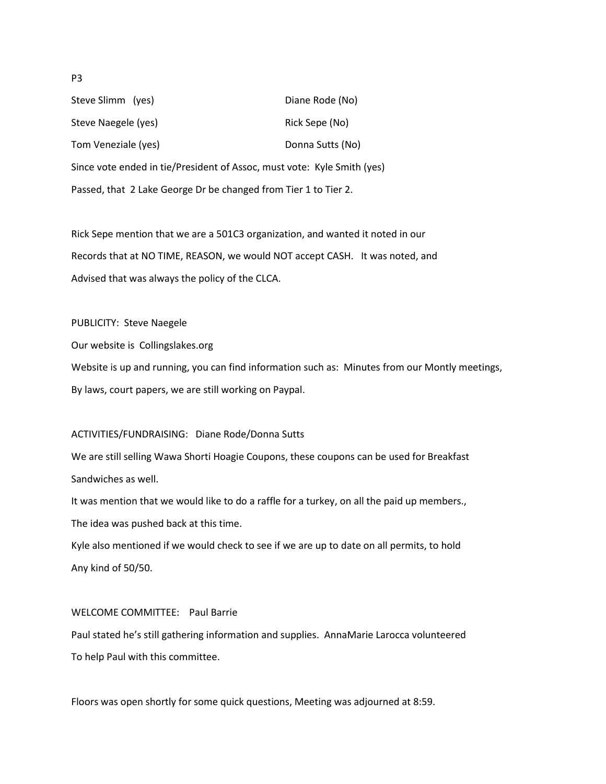Steve Slimm (yes) Steve Slimm (yes) and the Channel Diane Rode (No) Steve Naegele (yes) Steve Naegele (yes) Rick Sepe (No) Tom Veneziale (yes) Tom Veneziale (yes) Since vote ended in tie/President of Assoc, must vote: Kyle Smith (yes) Passed, that 2 Lake George Dr be changed from Tier 1 to Tier 2.

Rick Sepe mention that we are a 501C3 organization, and wanted it noted in our Records that at NO TIME, REASON, we would NOT accept CASH. It was noted, and Advised that was always the policy of the CLCA.

PUBLICITY: Steve Naegele

Our website is Collingslakes.org

Website is up and running, you can find information such as: Minutes from our Montly meetings, By laws, court papers, we are still working on Paypal.

# ACTIVITIES/FUNDRAISING: Diane Rode/Donna Sutts

We are still selling Wawa Shorti Hoagie Coupons, these coupons can be used for Breakfast Sandwiches as well.

It was mention that we would like to do a raffle for a turkey, on all the paid up members., The idea was pushed back at this time.

Kyle also mentioned if we would check to see if we are up to date on all permits, to hold Any kind of 50/50.

# WELCOME COMMITTEE: Paul Barrie

Paul stated he's still gathering information and supplies. AnnaMarie Larocca volunteered To help Paul with this committee.

Floors was open shortly for some quick questions, Meeting was adjourned at 8:59.

#### P3